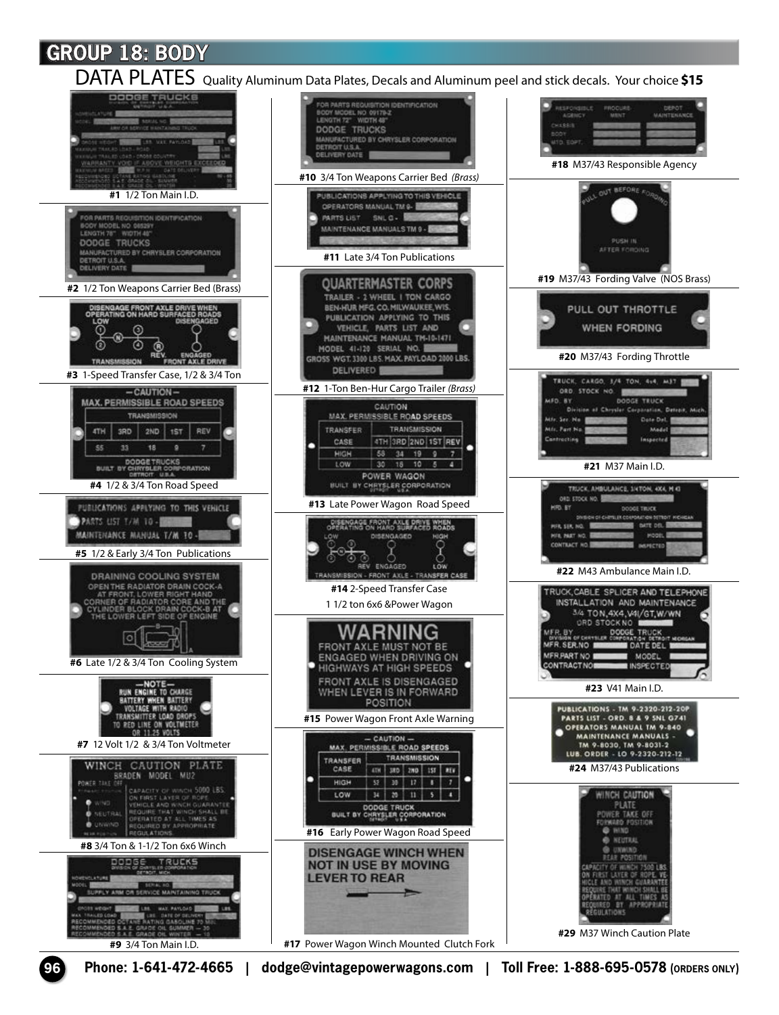DATA PLATES Quality Aluminum Data Plates, Decals and Aluminum peel and stick decals. Your choice **\$15** 

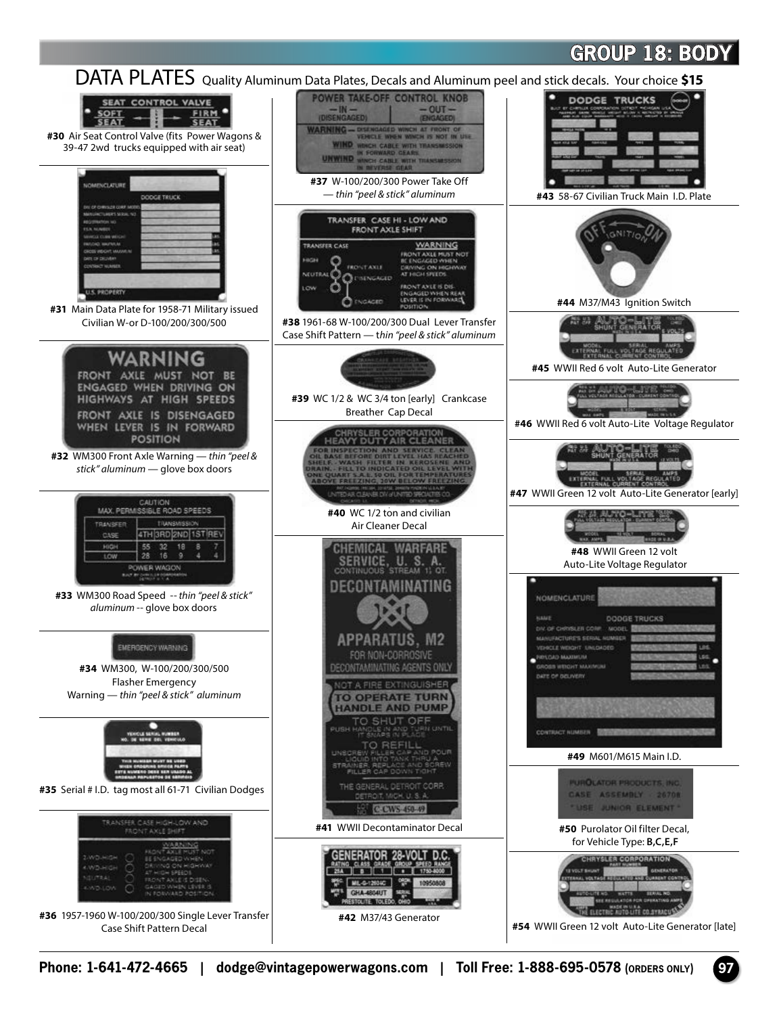

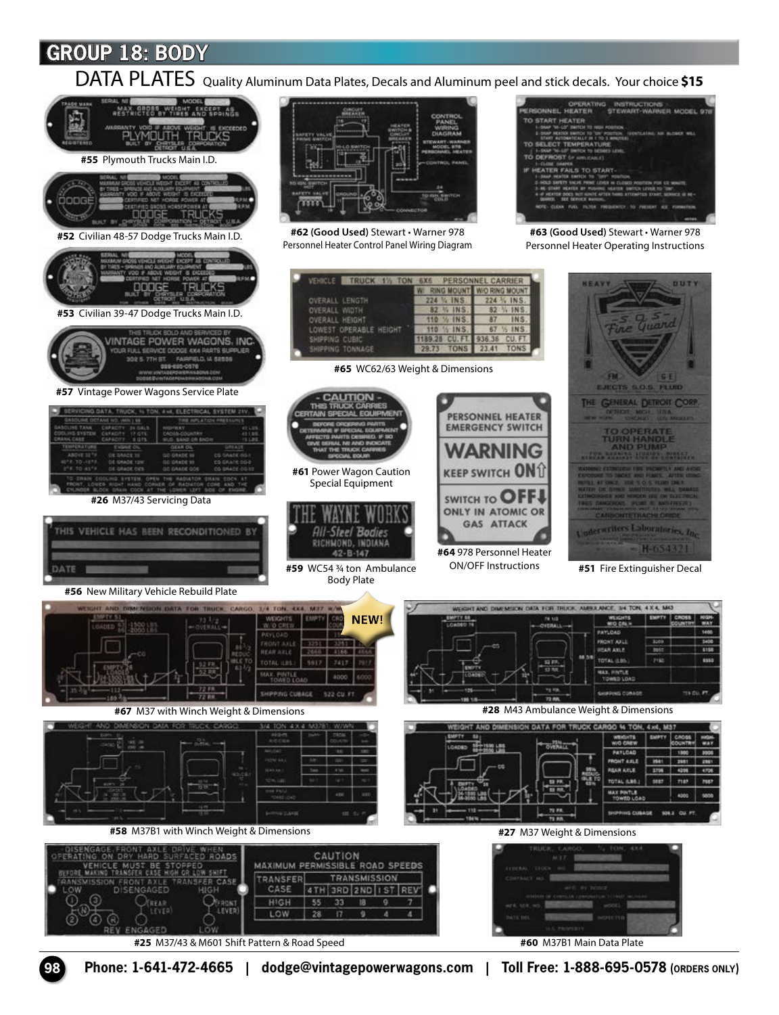DATA PLATES Quality Aluminum Data Plates, Decals and Aluminum peel and stick decals. Your choice **\$15**



**98 Phone: 1-641-472-4665 | dodge@vintagepowerwagons.com | Toll Free: 1-888-695-0578 (ORDERS ONLY)**